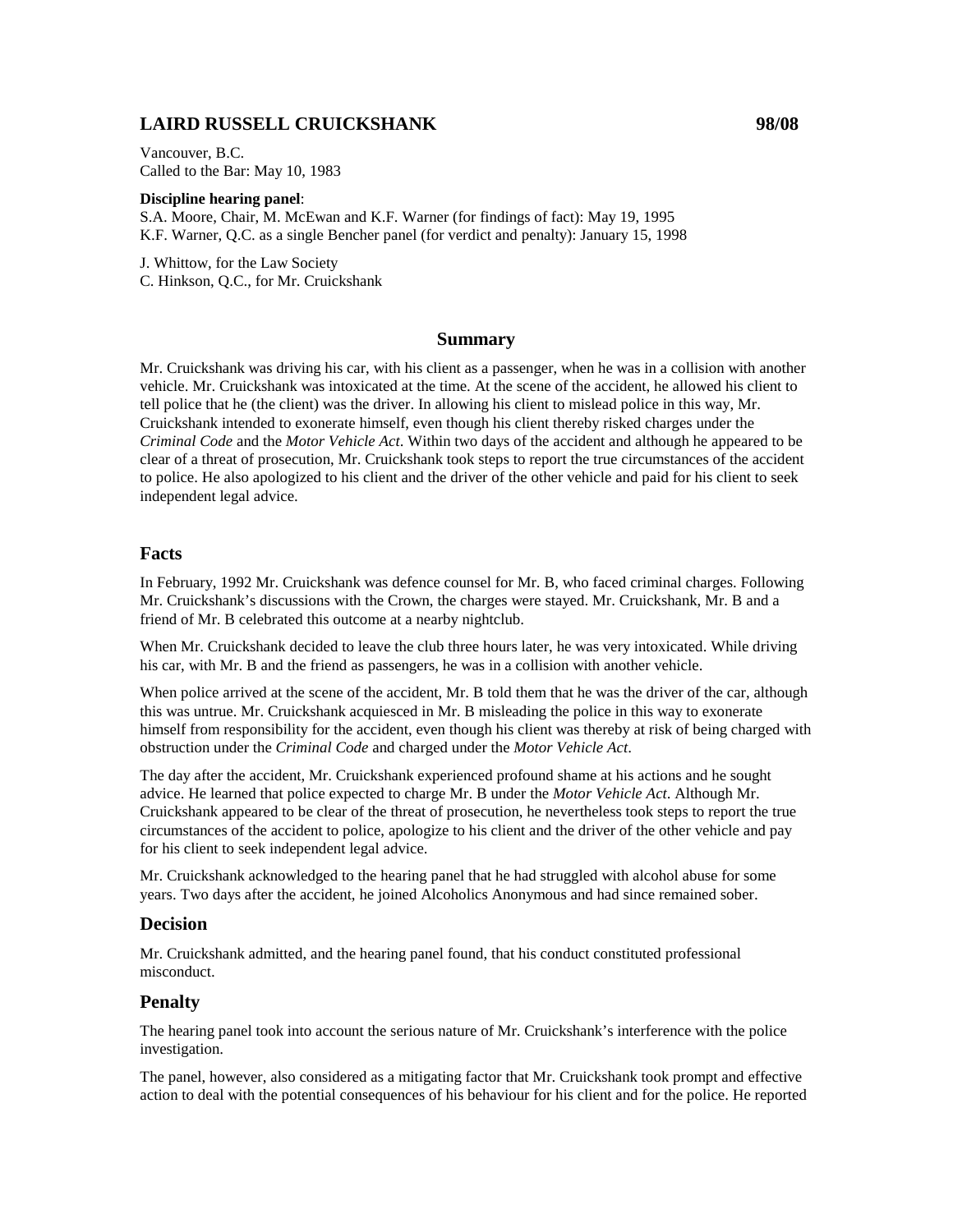# **LAIRD RUSSELL CRUICKSHANK 98/08**

Vancouver, B.C. Called to the Bar: May 10, 1983

#### **Discipline hearing panel**:

S.A. Moore, Chair, M. McEwan and K.F. Warner (for findings of fact): May 19, 1995 K.F. Warner, Q.C. as a single Bencher panel (for verdict and penalty): January 15, 1998

J. Whittow, for the Law Society C. Hinkson, Q.C., for Mr. Cruickshank

#### **Summary**

Mr. Cruickshank was driving his car, with his client as a passenger, when he was in a collision with another vehicle. Mr. Cruickshank was intoxicated at the time. At the scene of the accident, he allowed his client to tell police that he (the client) was the driver. In allowing his client to mislead police in this way, Mr. Cruickshank intended to exonerate himself, even though his client thereby risked charges under the *Criminal Code* and the *Motor Vehicle Act*. Within two days of the accident and although he appeared to be clear of a threat of prosecution, Mr. Cruickshank took steps to report the true circumstances of the accident to police. He also apologized to his client and the driver of the other vehicle and paid for his client to seek independent legal advice.

### **Facts**

In February, 1992 Mr. Cruickshank was defence counsel for Mr. B, who faced criminal charges. Following Mr. Cruickshank's discussions with the Crown, the charges were stayed. Mr. Cruickshank, Mr. B and a friend of Mr. B celebrated this outcome at a nearby nightclub.

When Mr. Cruickshank decided to leave the club three hours later, he was very intoxicated. While driving his car, with Mr. B and the friend as passengers, he was in a collision with another vehicle.

When police arrived at the scene of the accident, Mr. B told them that he was the driver of the car, although this was untrue. Mr. Cruickshank acquiesced in Mr. B misleading the police in this way to exonerate himself from responsibility for the accident, even though his client was thereby at risk of being charged with obstruction under the *Criminal Code* and charged under the *Motor Vehicle Act*.

The day after the accident, Mr. Cruickshank experienced profound shame at his actions and he sought advice. He learned that police expected to charge Mr. B under the *Motor Vehicle Act*. Although Mr. Cruickshank appeared to be clear of the threat of prosecution, he nevertheless took steps to report the true circumstances of the accident to police, apologize to his client and the driver of the other vehicle and pay for his client to seek independent legal advice.

Mr. Cruickshank acknowledged to the hearing panel that he had struggled with alcohol abuse for some years. Two days after the accident, he joined Alcoholics Anonymous and had since remained sober.

## **Decision**

Mr. Cruickshank admitted, and the hearing panel found, that his conduct constituted professional misconduct.

#### **Penalty**

The hearing panel took into account the serious nature of Mr. Cruickshank's interference with the police investigation.

The panel, however, also considered as a mitigating factor that Mr. Cruickshank took prompt and effective action to deal with the potential consequences of his behaviour for his client and for the police. He reported